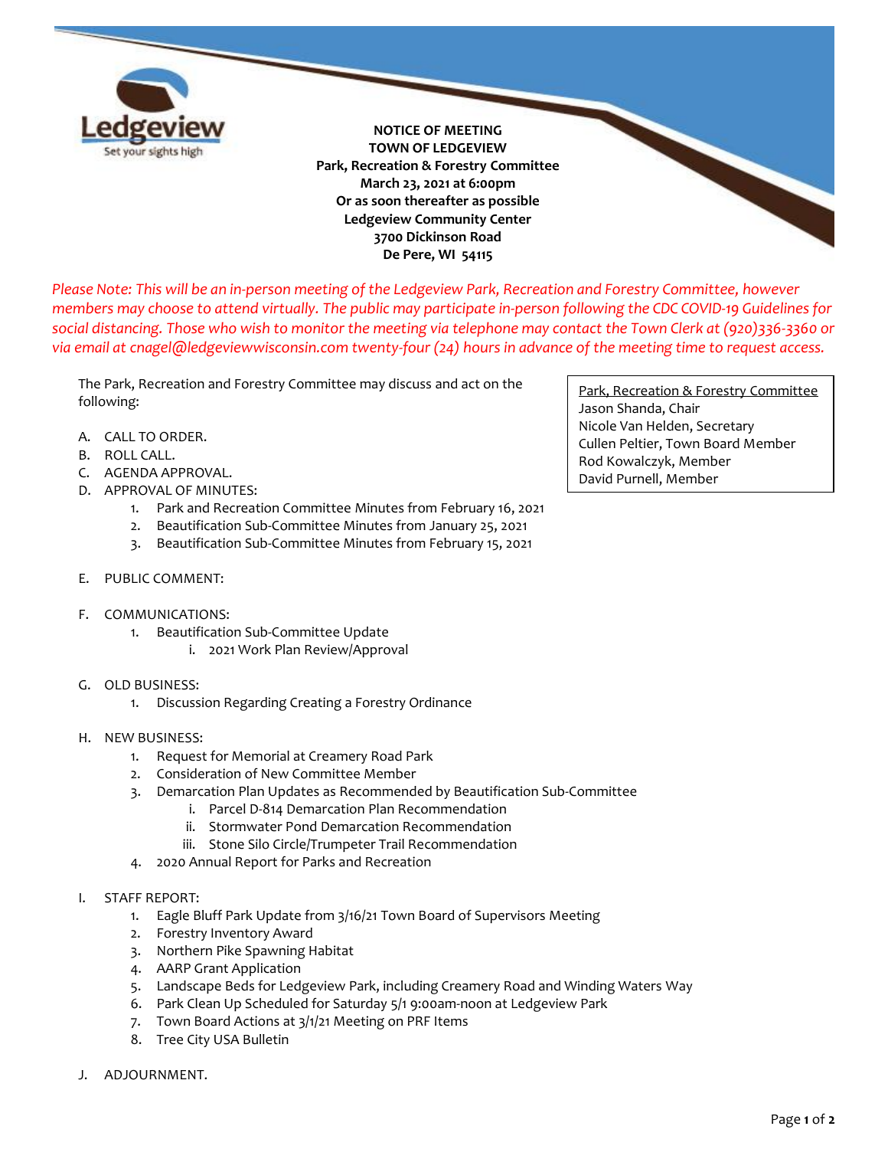

**NOTICE OF MEETING TOWN OF LEDGEVIEW Park, Recreation & Forestry Committee March 23, 2021 at 6:00pm Or as soon thereafter as possible Ledgeview Community Center 3700 Dickinson Road De Pere, WI 54115**

*Please Note: This will be an in-person meeting of the Ledgeview Park, Recreation and Forestry Committee, however members may choose to attend virtually. The public may participate in-person following the CDC COVID-19 Guidelines for social distancing. Those who wish to monitor the meeting via telephone may contact the Town Clerk at (920)336-3360 or via email at cnagel@ledgeviewwisconsin.com twenty-four (24) hours in advance of the meeting time to request access.*

The Park, Recreation and Forestry Committee may discuss and act on the following:

- A. CALL TO ORDER.
- B. ROLL CALL.
- C. AGENDA APPROVAL.
- D. APPROVAL OF MINUTES:
	- 1. Park and Recreation Committee Minutes from February 16, 2021
	- 2. Beautification Sub-Committee Minutes from January 25, 2021
	- 3. Beautification Sub-Committee Minutes from February 15, 2021
- E. PUBLIC COMMENT:
- F. COMMUNICATIONS:
	- 1. Beautification Sub-Committee Update
		- i. 2021 Work Plan Review/Approval
- G. OLD BUSINESS:
	- 1. Discussion Regarding Creating a Forestry Ordinance
- H. NEW BUSINESS:
	- 1. Request for Memorial at Creamery Road Park
	- 2. Consideration of New Committee Member
	- 3. Demarcation Plan Updates as Recommended by Beautification Sub-Committee
		- i. Parcel D-814 Demarcation Plan Recommendation
		- ii. Stormwater Pond Demarcation Recommendation
		- iii. Stone Silo Circle/Trumpeter Trail Recommendation
	- 4. 2020 Annual Report for Parks and Recreation
- I. STAFF REPORT:
	- 1. Eagle Bluff Park Update from 3/16/21 Town Board of Supervisors Meeting
	- 2. Forestry Inventory Award
	- 3. Northern Pike Spawning Habitat
	- 4. AARP Grant Application
	- 5. Landscape Beds for Ledgeview Park, including Creamery Road and Winding Waters Way
	- 6. Park Clean Up Scheduled for Saturday 5/1 9:00am-noon at Ledgeview Park
	- 7. Town Board Actions at 3/1/21 Meeting on PRF Items
	- 8. Tree City USA Bulletin
- J. ADJOURNMENT.

Park, Recreation & Forestry Committee Jason Shanda, Chair Nicole Van Helden, Secretary Cullen Peltier, Town Board Member Rod Kowalczyk, Member David Purnell, Member